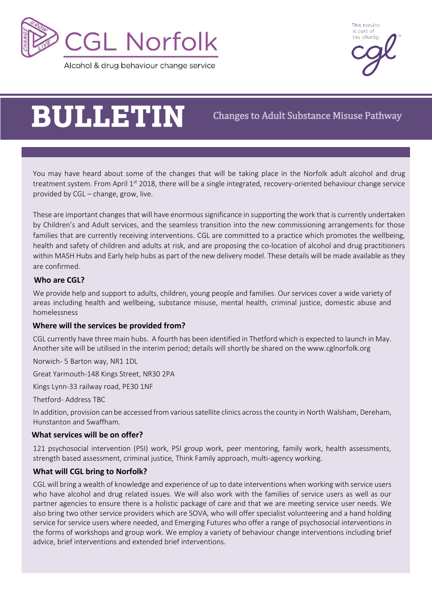



# **BULLETIN**

Changes to Adult Substance Misuse Pathway

You may have heard about some of the changes that will be taking place in the Norfolk adult alcohol and drug treatment system. From April 1<sup>st</sup> 2018, there will be a single integrated, recovery-oriented behaviour change service provided by CGL – change, grow, live.

These are important changes that will have enormous significance in supporting the work that is currently undertaken by Children's and Adult services, and the seamless transition into the new commissioning arrangements for those families that are currently receiving interventions. CGL are committed to a practice which promotes the wellbeing, health and safety of children and adults at risk, and are proposing the co-location of alcohol and drug practitioners within MASH Hubs and Early help hubs as part of the new delivery model. These details will be made available as they are confirmed.

# **Who are CGL?**

We provide help and support to adults, children, young people and families. Our services cover a wide variety of areas including health and wellbeing, substance misuse, mental health, criminal justice, domestic abuse and homelessness

# **Where will the services be provided from?**

CGL currently have three main hubs. A fourth has been identified in Thetford which is expected to launch in May. Another site will be utilised in the interim period; details will shortly be shared on the www.cglnorfolk.org

Norwich- 5 Barton way, NR1 1DL

Great Yarmouth-148 Kings Street, NR30 2PA

Kings Lynn-33 railway road, PE30 1NF

Thetford- Address TBC

In addition, provision can be accessed from various satellite clinics across the county in North Walsham, Dereham, Hunstanton and Swaffham.

# **What services will be on offer?**

121 psychosocial intervention (PSI) work, PSI group work, peer mentoring, family work, health assessments, strength based assessment, criminal justice, Think Family approach, multi-agency working.

# **What will CGL bring to Norfolk?**

advice, brief interventions and extended brief interventions.<br>advice, brief interventions and extended brief interventions. CGL will bring a wealth of knowledge and experience of up to date interventions when working with service users who have alcohol and drug related issues. We will also work with the families of service users as well as our partner agencies to ensure there is a holistic package of care and that we are meeting service user needs. We also bring two other service providers which are SOVA, who will offer specialist volunteering and a hand holding service for service users where needed, and Emerging Futures who offer a range of psychosocial interventions in the forms of workshops and group work. We employ a variety of behaviour change interventions including brief